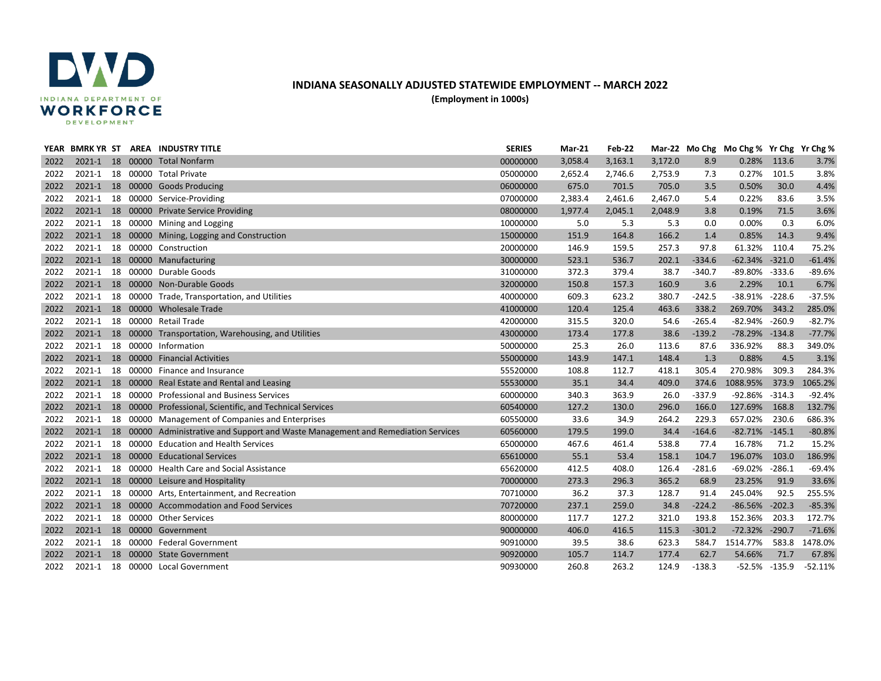

## **INDIANA SEASONALLY ADJUSTED STATEWIDE EMPLOYMENT -- MARCH 2022 (Employment in 1000s)**

| YEAR | <b>BMRKYR ST</b> |  | AREA INDUSTRY TITLE                                                               | <b>SERIES</b> | <b>Mar-21</b> | Feb-22  |         |          | Mar-22 Mo Chg Mo Chg % Yr Chg Yr Chg % |                  |           |
|------|------------------|--|-----------------------------------------------------------------------------------|---------------|---------------|---------|---------|----------|----------------------------------------|------------------|-----------|
| 2022 |                  |  | 2021-1 18 00000 Total Nonfarm                                                     | 00000000      | 3,058.4       | 3,163.1 | 3,172.0 | 8.9      | 0.28%                                  | 113.6            | 3.7%      |
| 2022 |                  |  | 2021-1 18 00000 Total Private                                                     | 05000000      | 2,652.4       | 2,746.6 | 2,753.9 | 7.3      | 0.27%                                  | 101.5            | 3.8%      |
| 2022 | 2021-1           |  | 18 00000 Goods Producing                                                          | 06000000      | 675.0         | 701.5   | 705.0   | 3.5      | 0.50%                                  | 30.0             | 4.4%      |
| 2022 | 2021-1           |  | 18 00000 Service-Providing                                                        | 07000000      | 2,383.4       | 2,461.6 | 2,467.0 | 5.4      | 0.22%                                  | 83.6             | 3.5%      |
| 2022 |                  |  | 2021-1 18 00000 Private Service Providing                                         | 08000000      | 1,977.4       | 2,045.1 | 2,048.9 | 3.8      | 0.19%                                  | 71.5             | 3.6%      |
| 2022 |                  |  | 2021-1 18 00000 Mining and Logging                                                | 10000000      | 5.0           | 5.3     | 5.3     | 0.0      | 0.00%                                  | 0.3              | 6.0%      |
| 2022 |                  |  | 2021-1 18 00000 Mining, Logging and Construction                                  | 15000000      | 151.9         | 164.8   | 166.2   | 1.4      | 0.85%                                  | 14.3             | 9.4%      |
| 2022 | 2021-1           |  | 18 00000 Construction                                                             | 20000000      | 146.9         | 159.5   | 257.3   | 97.8     | 61.32%                                 | 110.4            | 75.2%     |
| 2022 |                  |  | 2021-1 18 00000 Manufacturing                                                     | 30000000      | 523.1         | 536.7   | 202.1   | $-334.6$ | $-62.34%$                              | $-321.0$         | $-61.4%$  |
| 2022 | 2021-1           |  | 18 00000 Durable Goods                                                            | 31000000      | 372.3         | 379.4   | 38.7    | $-340.7$ | -89.80%                                | $-333.6$         | $-89.6%$  |
| 2022 |                  |  | 2021-1 18 00000 Non-Durable Goods                                                 | 32000000      | 150.8         | 157.3   | 160.9   | 3.6      | 2.29%                                  | 10.1             | 6.7%      |
| 2022 | 2021-1           |  | 18 00000 Trade, Transportation, and Utilities                                     | 40000000      | 609.3         | 623.2   | 380.7   | $-242.5$ | $-38.91%$                              | $-228.6$         | $-37.5%$  |
| 2022 |                  |  | 2021-1 18 00000 Wholesale Trade                                                   | 41000000      | 120.4         | 125.4   | 463.6   | 338.2    | 269.70%                                | 343.2            | 285.0%    |
| 2022 |                  |  | 2021-1 18 00000 Retail Trade                                                      | 42000000      | 315.5         | 320.0   | 54.6    | $-265.4$ | $-82.94%$                              | $-260.9$         | $-82.7%$  |
| 2022 |                  |  | 2021-1 18 00000 Transportation, Warehousing, and Utilities                        | 43000000      | 173.4         | 177.8   | 38.6    | $-139.2$ | $-78.29%$                              | $-134.8$         | $-77.7%$  |
| 2022 |                  |  | 2021-1 18 00000 Information                                                       | 50000000      | 25.3          | 26.0    | 113.6   | 87.6     | 336.92%                                | 88.3             | 349.0%    |
| 2022 |                  |  | 2021-1 18 00000 Financial Activities                                              | 55000000      | 143.9         | 147.1   | 148.4   | 1.3      | 0.88%                                  | 4.5              | 3.1%      |
| 2022 | 2021-1           |  | 18 00000 Finance and Insurance                                                    | 55520000      | 108.8         | 112.7   | 418.1   | 305.4    | 270.98%                                | 309.3            | 284.3%    |
| 2022 |                  |  | 2021-1 18 00000 Real Estate and Rental and Leasing                                | 55530000      | 35.1          | 34.4    | 409.0   | 374.6    | 1088.95%                               | 373.9            | 1065.2%   |
| 2022 |                  |  | 2021-1 18 00000 Professional and Business Services                                | 60000000      | 340.3         | 363.9   | 26.0    | $-337.9$ | -92.86% -314.3                         |                  | $-92.4%$  |
| 2022 |                  |  | 2021-1 18 00000 Professional, Scientific, and Technical Services                  | 60540000      | 127.2         | 130.0   | 296.0   | 166.0    | 127.69%                                | 168.8            | 132.7%    |
| 2022 | 2021-1           |  | 18 00000 Management of Companies and Enterprises                                  | 60550000      | 33.6          | 34.9    | 264.2   | 229.3    | 657.02%                                | 230.6            | 686.3%    |
| 2022 | $2021 - 1$       |  | 18 00000 Administrative and Support and Waste Management and Remediation Services | 60560000      | 179.5         | 199.0   | 34.4    | $-164.6$ | $-82.71\% -145.1$                      |                  | $-80.8%$  |
| 2022 | 2021-1           |  | 18 00000 Education and Health Services                                            | 65000000      | 467.6         | 461.4   | 538.8   | 77.4     | 16.78%                                 | 71.2             | 15.2%     |
| 2022 | 2021-1           |  | 18 00000 Educational Services                                                     | 65610000      | 55.1          | 53.4    | 158.1   | 104.7    | 196.07%                                | 103.0            | 186.9%    |
| 2022 | 2021-1           |  | 18 00000 Health Care and Social Assistance                                        | 65620000      | 412.5         | 408.0   | 126.4   | $-281.6$ | -69.02%                                | $-286.1$         | $-69.4%$  |
| 2022 |                  |  | 2021-1 18 00000 Leisure and Hospitality                                           | 70000000      | 273.3         | 296.3   | 365.2   | 68.9     | 23.25%                                 | 91.9             | 33.6%     |
| 2022 |                  |  | 2021-1 18 00000 Arts, Entertainment, and Recreation                               | 70710000      | 36.2          | 37.3    | 128.7   | 91.4     | 245.04%                                | 92.5             | 255.5%    |
| 2022 |                  |  | 2021-1 18 00000 Accommodation and Food Services                                   | 70720000      | 237.1         | 259.0   | 34.8    | $-224.2$ | $-86.56%$                              | $-202.3$         | $-85.3%$  |
| 2022 |                  |  | 2021-1 18 00000 Other Services                                                    | 80000000      | 117.7         | 127.2   | 321.0   | 193.8    | 152.36%                                | 203.3            | 172.7%    |
| 2022 |                  |  | 2021-1 18 00000 Government                                                        | 90000000      | 406.0         | 416.5   | 115.3   | $-301.2$ | $-72.32%$                              | $-290.7$         | $-71.6%$  |
| 2022 | 2021-1           |  | 18 00000 Federal Government                                                       | 90910000      | 39.5          | 38.6    | 623.3   | 584.7    | 1514.77%                               | 583.8            | 1478.0%   |
| 2022 | $2021 - 1$       |  | 18 00000 State Government                                                         | 90920000      | 105.7         | 114.7   | 177.4   | 62.7     | 54.66%                                 | 71.7             | 67.8%     |
| 2022 |                  |  | 2021-1 18 00000 Local Government                                                  | 90930000      | 260.8         | 263.2   | 124.9   | $-138.3$ |                                        | $-52.5\% -135.9$ | $-52.11%$ |